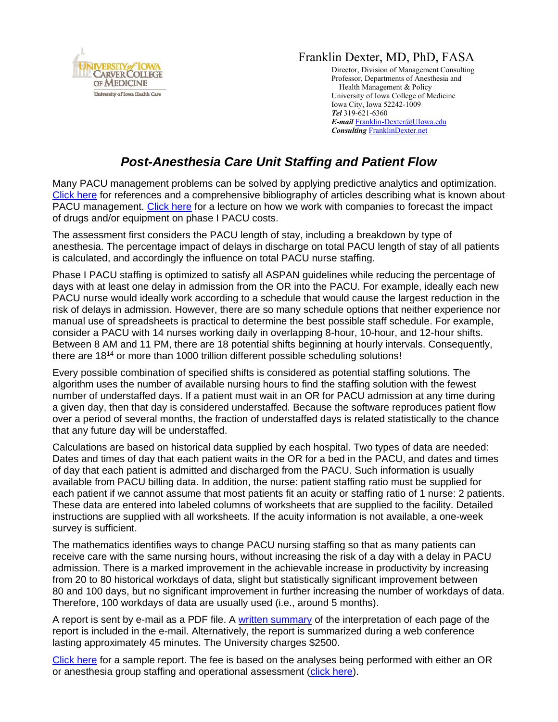

## Franklin Dexter, MD, PhD, FASA

Director, Division of Management Consulting Professor, Departments of Anesthesia and Health Management & Policy University of Iowa College of Medicine Iowa City, Iowa 52242-1009 *Tel* 319-621-6360 *E-mail* [Franklin-Dexter@UIowa.edu](mailto:Franklin-Dexter@UIowa.edu?subject=PACU%20staffing%20and%20Patient%20flow) *Consulting* [FranklinDexter.net](https://franklindexter.net/)

## *Post-Anesthesia Care Unit Staffing and Patient Flow*

Many PACU management problems can be solved by applying predictive analytics and optimization. [Click here](https://www.franklindexter.net/bibliography_PACUStaffing.htm) for references and a comprehensive bibliography of articles describing what is known about PACU management. [Click here](https://www.franklindexter.net/Lectures/DrugCosts.pdf) for a lecture on how we work with companies to forecast the impact of drugs and/or equipment on phase I PACU costs.

The assessment first considers the PACU length of stay, including a breakdown by type of anesthesia. The percentage impact of delays in discharge on total PACU length of stay of all patients is calculated, and accordingly the influence on total PACU nurse staffing.

Phase I PACU staffing is optimized to satisfy all ASPAN guidelines while reducing the percentage of days with at least one delay in admission from the OR into the PACU. For example, ideally each new PACU nurse would ideally work according to a schedule that would cause the largest reduction in the risk of delays in admission. However, there are so many schedule options that neither experience nor manual use of spreadsheets is practical to determine the best possible staff schedule. For example, consider a PACU with 14 nurses working daily in overlapping 8-hour, 10-hour, and 12-hour shifts. Between 8 AM and 11 PM, there are 18 potential shifts beginning at hourly intervals. Consequently, there are 18<sup>14</sup> or more than 1000 trillion different possible scheduling solutions!

Every possible combination of specified shifts is considered as potential staffing solutions. The algorithm uses the number of available nursing hours to find the staffing solution with the fewest number of understaffed days. If a patient must wait in an OR for PACU admission at any time during a given day, then that day is considered understaffed. Because the software reproduces patient flow over a period of several months, the fraction of understaffed days is related statistically to the chance that any future day will be understaffed.

Calculations are based on historical data supplied by each hospital. Two types of data are needed: Dates and times of day that each patient waits in the OR for a bed in the PACU, and dates and times of day that each patient is admitted and discharged from the PACU. Such information is usually available from PACU billing data. In addition, the nurse: patient staffing ratio must be supplied for each patient if we cannot assume that most patients fit an acuity or staffing ratio of 1 nurse: 2 patients. These data are entered into labeled columns of worksheets that are supplied to the facility. Detailed instructions are supplied with all worksheets. If the acuity information is not available, a one-week survey is sufficient.

The mathematics identifies ways to change PACU nursing staffing so that as many patients can receive care with the same nursing hours, without increasing the risk of a day with a delay in PACU admission. There is a marked improvement in the achievable increase in productivity by increasing from 20 to 80 historical workdays of data, slight but statistically significant improvement between 80 and 100 days, but no significant improvement in further increasing the number of workdays of data. Therefore, 100 workdays of data are usually used (i.e., around 5 months).

A report is sent by e-mail as a PDF file. A [written summary](https://www.ncbi.nlm.nih.gov/pubmed/26287297) of the interpretation of each page of the report is included in the e-mail. Alternatively, the report is summarized during a web conference lasting approximately 45 minutes. The University charges \$2500.

[Click here](https://www.franklindexter.net/PDF%20Files/PacuExampleReport.pdf) for a sample report. The fee is based on the analyses being performed with either an OR or anesthesia group staffing and operational assessment [\(click here\)](https://www.franklindexter.net/PDF%20Files/orstaffing.pdf).